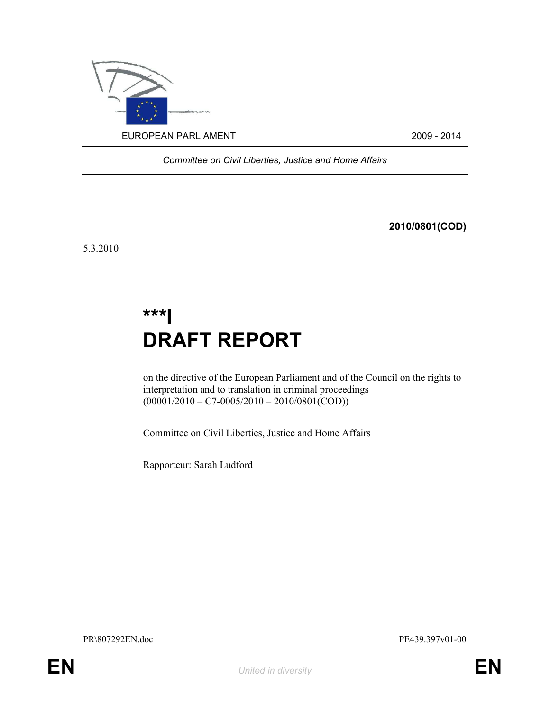

Committee on Civil Liberties, Justice and Home Affairs

2010/0801(COD)

5.3.2010

# \*\*\*I DRAFT REPORT

on the directive of the European Parliament and of the Council on the rights to interpretation and to translation in criminal proceedings  $(00001/2010 - C7 - 0005/2010 - 2010/0801(COD))$ 

Committee on Civil Liberties, Justice and Home Affairs

Rapporteur: Sarah Ludford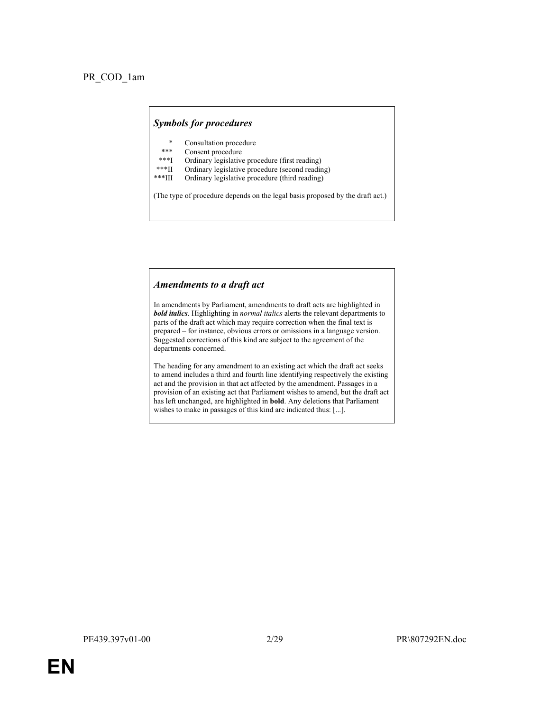#### Symbols for procedures

- Consultation procedure
- \*\*\* Consent procedure<br>\*\*\*I Ordinary legislative
- \*\*\*I Ordinary legislative procedure (first reading)<br>\*\*\*II Ordinary legislative procedure (second reading)
- \*\*\*II Ordinary legislative procedure (second reading)
- Ordinary legislative procedure (third reading)

(The type of procedure depends on the legal basis proposed by the draft act.)

#### Amendments to a draft act

In amendments by Parliament, amendments to draft acts are highlighted in **bold italics**. Highlighting in normal italics alerts the relevant departments to parts of the draft act which may require correction when the final text is prepared – for instance, obvious errors or omissions in a language version. Suggested corrections of this kind are subject to the agreement of the departments concerned.

The heading for any amendment to an existing act which the draft act seeks to amend includes a third and fourth line identifying respectively the existing act and the provision in that act affected by the amendment. Passages in a provision of an existing act that Parliament wishes to amend, but the draft act has left unchanged, are highlighted in bold. Any deletions that Parliament wishes to make in passages of this kind are indicated thus: [...].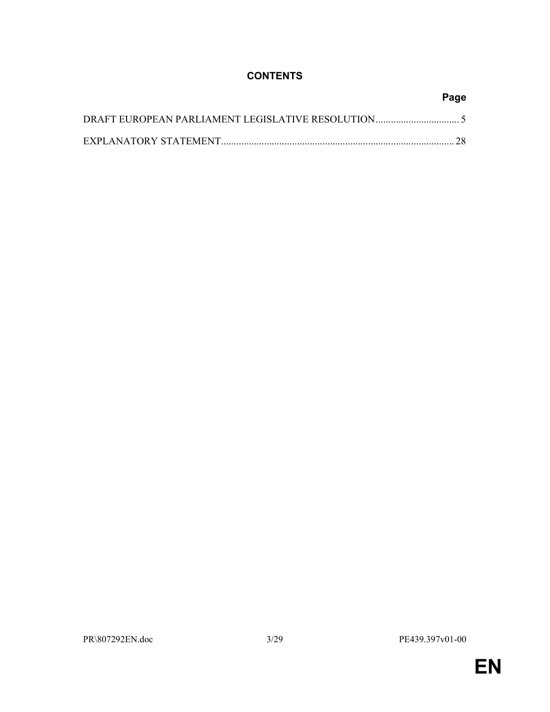# **CONTENTS**

| Page |
|------|
|      |
|      |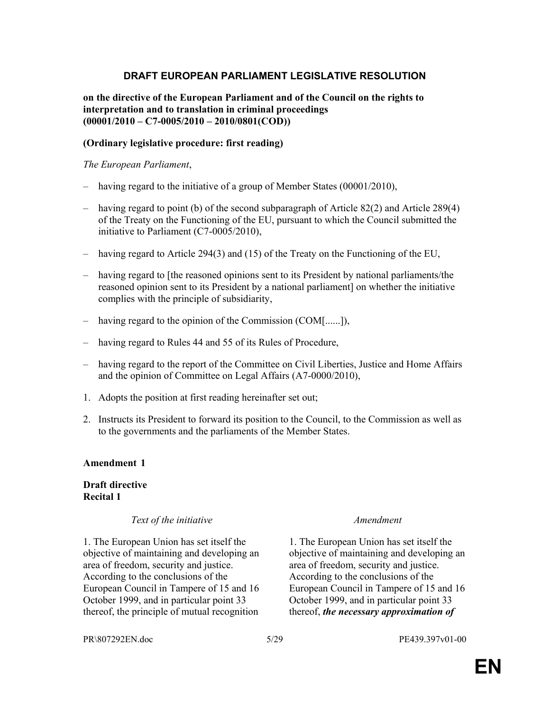## DRAFT EUROPEAN PARLIAMENT LEGISLATIVE RESOLUTION

### on the directive of the European Parliament and of the Council on the rights to interpretation and to translation in criminal proceedings  $(00001/2010 - C7 - 0005/2010 - 2010/0801(COD))$

### (Ordinary legislative procedure: first reading)

### The European Parliament,

- having regard to the initiative of a group of Member States (00001/2010),
- $-$  having regard to point (b) of the second subparagraph of Article 82(2) and Article 289(4) of the Treaty on the Functioning of the EU, pursuant to which the Council submitted the initiative to Parliament (C7-0005/2010),
- having regard to Article 294(3) and (15) of the Treaty on the Functioning of the EU,
- having regard to [the reasoned opinions sent to its President by national parliaments/the reasoned opinion sent to its President by a national parliament] on whether the initiative complies with the principle of subsidiarity,
- having regard to the opinion of the Commission (COM[......]),
- having regard to Rules 44 and 55 of its Rules of Procedure,
- having regard to the report of the Committee on Civil Liberties, Justice and Home Affairs and the opinion of Committee on Legal Affairs (A7-0000/2010),
- 1. Adopts the position at first reading hereinafter set out;
- 2. Instructs its President to forward its position to the Council, to the Commission as well as to the governments and the parliaments of the Member States.

### Amendment 1

### Draft directive Recital 1

### Text of the initiative Text of the initiative Amendment

1. The European Union has set itself the objective of maintaining and developing an area of freedom, security and justice. According to the conclusions of the European Council in Tampere of 15 and 16 October 1999, and in particular point 33 thereof, the principle of mutual recognition

1. The European Union has set itself the objective of maintaining and developing an area of freedom, security and justice. According to the conclusions of the European Council in Tampere of 15 and 16 October 1999, and in particular point 33 thereof, the necessary approximation of

PR\807292EN.doc 5/29 PE439.397v01-00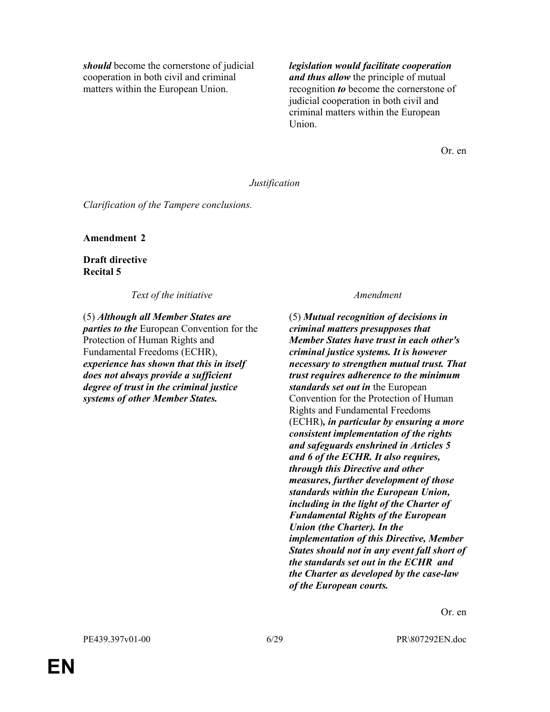should become the cornerstone of judicial cooperation in both civil and criminal matters within the European Union.

legislation would facilitate cooperation and thus allow the principle of mutual recognition to become the cornerstone of judicial cooperation in both civil and criminal matters within the European Union.

Or. en

#### Justification

Clarification of the Tampere conclusions.

Amendment 2

Draft directive Recital 5

Text of the initiative and the set of the initiative and the set of the initiative and the set of the set of the  $A$ mendment

(5) Although all Member States are parties to the European Convention for the Protection of Human Rights and Fundamental Freedoms (ECHR), experience has shown that this in itself does not always provide a sufficient degree of trust in the criminal justice systems of other Member States.

(5) Mutual recognition of decisions in criminal matters presupposes that Member States have trust in each other's criminal justice systems. It is however necessary to strengthen mutual trust. That trust requires adherence to the minimum standards set out in the European Convention for the Protection of Human Rights and Fundamental Freedoms (ECHR), in particular by ensuring a more consistent implementation of the rights and safeguards enshrined in Articles 5 and 6 of the ECHR. It also requires, through this Directive and other measures, further development of those standards within the European Union, including in the light of the Charter of Fundamental Rights of the European Union (the Charter). In the implementation of this Directive, Member States should not in any event fall short of the standards set out in the ECHR and the Charter as developed by the case-law of the European courts.

Or. en

PE439.397v01-00 6/29 PR\807292EN.doc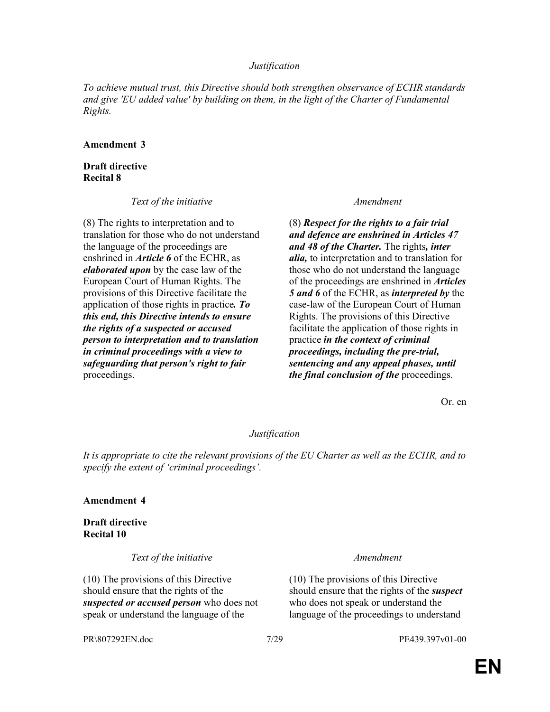### Justification

To achieve mutual trust, this Directive should both strengthen observance of ECHR standards and give 'EU added value' by building on them, in the light of the Charter of Fundamental Rights.

#### Amendment 3

### Draft directive Recital 8

Text of the initiative and the set of the initiative and the set of the initiative and the set of the initiative

(8) The rights to interpretation and to translation for those who do not understand the language of the proceedings are enshrined in Article 6 of the ECHR, as elaborated upon by the case law of the European Court of Human Rights. The provisions of this Directive facilitate the application of those rights in practice. To this end, this Directive intends to ensure the rights of a suspected or accused person to interpretation and to translation in criminal proceedings with a view to safeguarding that person's right to fair proceedings.

(8) Respect for the rights to a fair trial and defence are enshrined in Articles 47 and 48 of the Charter. The rights, inter *alia*, to interpretation and to translation for those who do not understand the language of the proceedings are enshrined in **Articles** 5 and 6 of the ECHR, as *interpreted by* the case-law of the European Court of Human Rights. The provisions of this Directive facilitate the application of those rights in practice in the context of criminal proceedings, including the pre-trial, sentencing and any appeal phases, until the final conclusion of the proceedings.

Or. en

### Justification

It is appropriate to cite the relevant provisions of the EU Charter as well as the ECHR, and to specify the extent of 'criminal proceedings'.

#### Amendment 4

Draft directive Recital 10

Text of the initiative Text of the initiative Amendment

(10) The provisions of this Directive should ensure that the rights of the suspected or accused person who does not speak or understand the language of the

(10) The provisions of this Directive should ensure that the rights of the *suspect* who does not speak or understand the language of the proceedings to understand

PR\807292EN.doc 7/29 PE439.397v01-00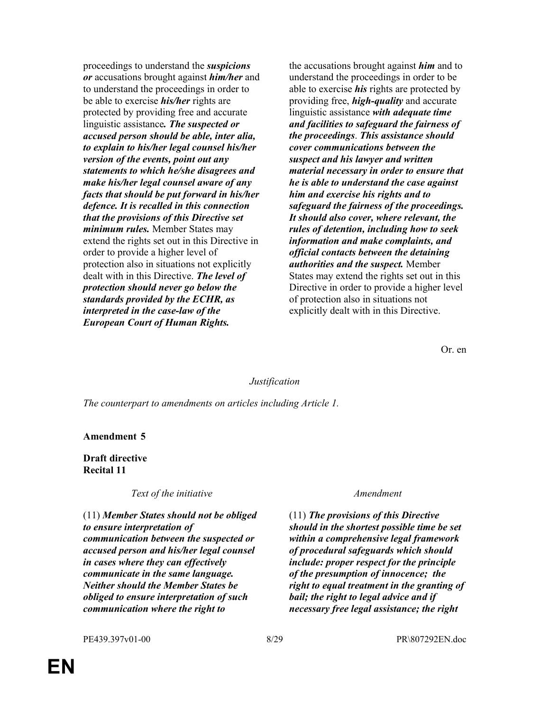proceedings to understand the suspicions or accusations brought against *him/her* and to understand the proceedings in order to be able to exercise *his/her* rights are protected by providing free and accurate linguistic assistance. The suspected or accused person should be able, inter alia, to explain to his/her legal counsel his/her version of the events, point out any statements to which he/she disagrees and make his/her legal counsel aware of any facts that should be put forward in his/her defence. It is recalled in this connection that the provisions of this Directive set minimum rules. Member States may extend the rights set out in this Directive in order to provide a higher level of protection also in situations not explicitly dealt with in this Directive. The level of protection should never go below the standards provided by the ECHR, as interpreted in the case-law of the European Court of Human Rights.

the accusations brought against *him* and to understand the proceedings in order to be able to exercise *his* rights are protected by providing free, *high-quality* and accurate linguistic assistance with adequate time and facilities to safeguard the fairness of the proceedings. This assistance should cover communications between the suspect and his lawyer and written material necessary in order to ensure that he is able to understand the case against him and exercise his rights and to safeguard the fairness of the proceedings. It should also cover, where relevant, the rules of detention, including how to seek information and make complaints, and official contacts between the detaining authorities and the suspect. Member States may extend the rights set out in this Directive in order to provide a higher level of protection also in situations not explicitly dealt with in this Directive.

Or. en

#### Justification

The counterpart to amendments on articles including Article 1.

#### Amendment 5

Draft directive Recital 11

Text of the initiative Text of the initiative Amendment

(11) Member States should not be obliged to ensure interpretation of communication between the suspected or accused person and his/her legal counsel in cases where they can effectively communicate in the same language. Neither should the Member States be obliged to ensure interpretation of such communication where the right to

(11) The provisions of this Directive should in the shortest possible time be set within a comprehensive legal framework of procedural safeguards which should include: proper respect for the principle of the presumption of innocence; the right to equal treatment in the granting of bail; the right to legal advice and if necessary free legal assistance; the right

PE439.397v01-00 8/29 PR\807292EN.doc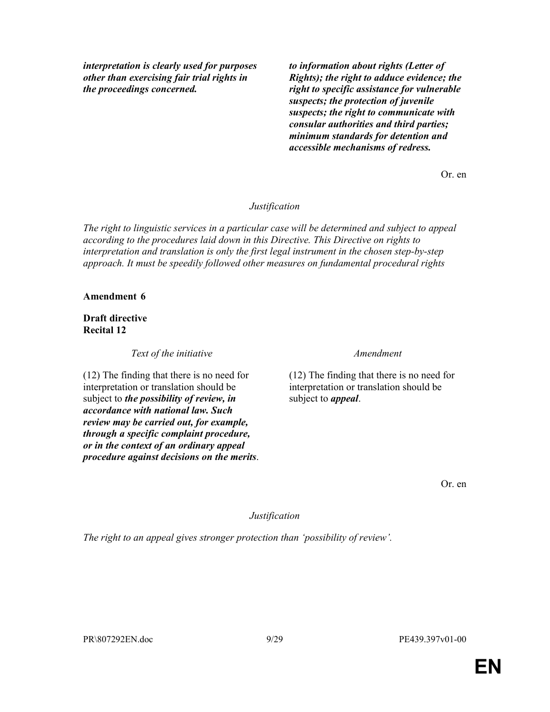interpretation is clearly used for purposes other than exercising fair trial rights in the proceedings concerned.

to information about rights (Letter of Rights); the right to adduce evidence; the right to specific assistance for vulnerable suspects; the protection of juvenile suspects; the right to communicate with consular authorities and third parties; minimum standards for detention and accessible mechanisms of redress.

Or. en

### Justification

The right to linguistic services in a particular case will be determined and subject to appeal according to the procedures laid down in this Directive. This Directive on rights to interpretation and translation is only the first legal instrument in the chosen step-by-step approach. It must be speedily followed other measures on fundamental procedural rights

#### Amendment 6

Draft directive Recital 12

Text of the initiative Text of the initiative Amendment

(12) The finding that there is no need for interpretation or translation should be subject to *the possibility of review*, in accordance with national law. Such review may be carried out, for example, through a specific complaint procedure, or in the context of an ordinary appeal procedure against decisions on the merits.

(12) The finding that there is no need for interpretation or translation should be subject to *appeal*.

Or. en

Justification

The right to an appeal gives stronger protection than 'possibility of review'.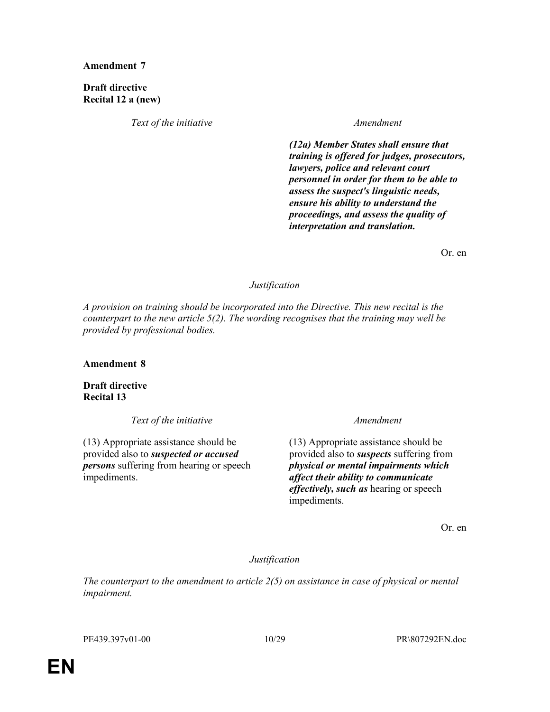Draft directive Recital 12 a (new)

Text of the initiative Text of the initiative Amendment

(12a) Member States shall ensure that training is offered for judges, prosecutors, lawyers, police and relevant court personnel in order for them to be able to assess the suspect's linguistic needs, ensure his ability to understand the proceedings, and assess the quality of interpretation and translation.

Or. en

#### Justification

A provision on training should be incorporated into the Directive. This new recital is the counterpart to the new article 5(2). The wording recognises that the training may well be provided by professional bodies.

Amendment 8

Draft directive Recital 13

Text of the initiative Text of the initiative and the state of the initiative of the state of the state of the  $A$ mendment

(13) Appropriate assistance should be provided also to suspected or accused persons suffering from hearing or speech impediments.

(13) Appropriate assistance should be provided also to suspects suffering from physical or mental impairments which affect their ability to communicate effectively, such as hearing or speech impediments.

Or. en

Justification

The counterpart to the amendment to article  $2(5)$  on assistance in case of physical or mental impairment.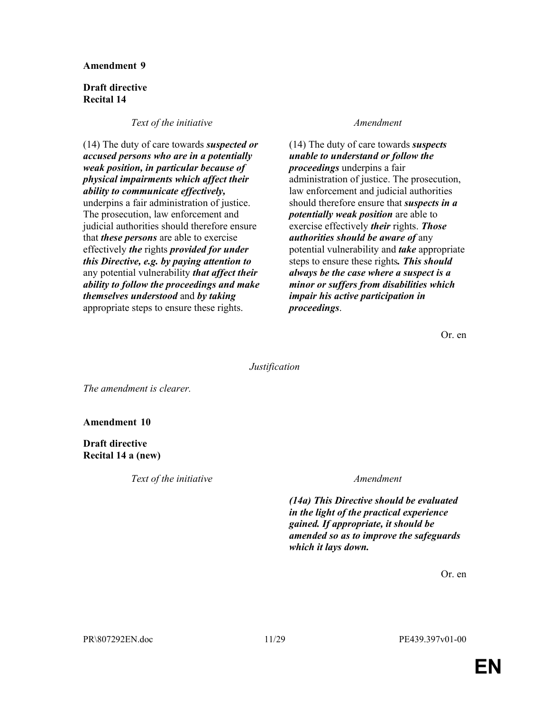#### Draft directive Recital 14

#### Text of the initiative and the set of the initiative and the set of the initiative and the set of the set of the  $A$ mendment

(14) The duty of care towards suspected or accused persons who are in a potentially weak position, in particular because of physical impairments which affect their ability to communicate effectively, underpins a fair administration of justice. The prosecution, law enforcement and judicial authorities should therefore ensure that *these persons* are able to exercise effectively the rights provided for under this Directive, e.g. by paying attention to any potential vulnerability *that affect their* ability to follow the proceedings and make themselves understood and by taking appropriate steps to ensure these rights.

(14) The duty of care towards suspects unable to understand or follow the proceedings underpins a fair administration of justice. The prosecution, law enforcement and judicial authorities should therefore ensure that *suspects in a* potentially weak position are able to exercise effectively *their* rights. **Those** authorities should be aware of any potential vulnerability and take appropriate steps to ensure these rights. This should always be the case where a suspect is a minor or suffers from disabilities which impair his active participation in proceedings.

Or. en

Justification

The amendment is clearer.

### Amendment 10

### Draft directive Recital 14 a (new)

Text of the initiative Text of the initiative Amendment

(14a) This Directive should be evaluated in the light of the practical experience gained. If appropriate, it should be amended so as to improve the safeguards which it lays down.

Or. en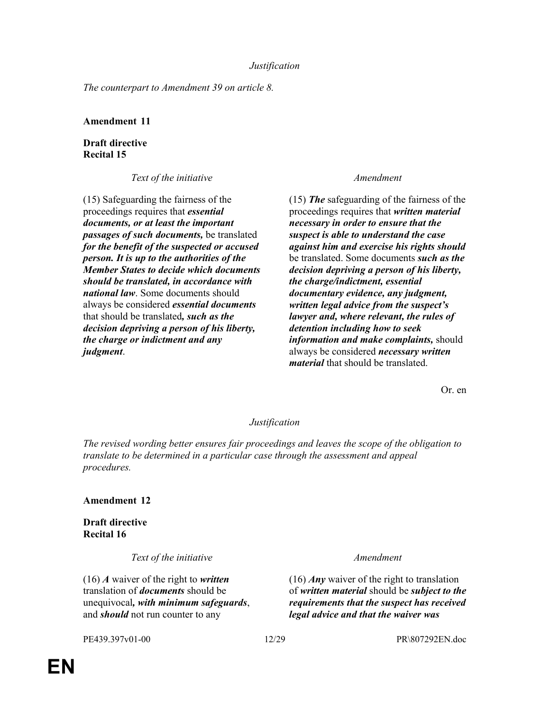The counterpart to Amendment 39 on article 8.

### Amendment 11

### Draft directive Recital 15

Text of the initiative Text of the initiative Amendment

(15) Safeguarding the fairness of the proceedings requires that essential documents, or at least the important passages of such documents, be translated for the benefit of the suspected or accused person. It is up to the authorities of the Member States to decide which documents should be translated, in accordance with national law. Some documents should always be considered essential documents that should be translated, such as the decision depriving a person of his liberty, the charge or indictment and any judgment.

(15) The safeguarding of the fairness of the proceedings requires that written material necessary in order to ensure that the suspect is able to understand the case against him and exercise his rights should be translated. Some documents *such as the* decision depriving a person of his liberty, the charge/indictment, essential documentary evidence, any judgment, written legal advice from the suspect's lawyer and, where relevant, the rules of detention including how to seek information and make complaints, should always be considered *necessary written* material that should be translated.

Or. en

### Justification

The revised wording better ensures fair proceedings and leaves the scope of the obligation to translate to be determined in a particular case through the assessment and appeal procedures.

### Amendment 12

Draft directive Recital 16

Text of the initiative and the set of the initiative and the set of the initiative and the set of the set of the  $A$ mendment

 $(16)$  A waiver of the right to written translation of *documents* should be unequivocal, with minimum safeguards, and *should* not run counter to any

(16) *Any* waiver of the right to translation of written material should be subject to the requirements that the suspect has received legal advice and that the waiver was

PE439.397v01-00 12/29 PR\807292EN.doc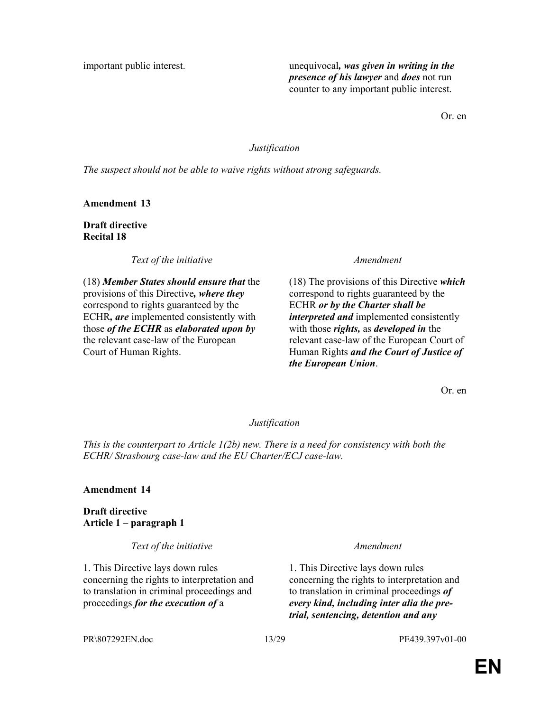important public interest. The unequivocal, was given in writing in the presence of his lawyer and does not run counter to any important public interest.

Or. en

### Justification

The suspect should not be able to waive rights without strong safeguards.

Amendment 13

Draft directive Recital 18

Text of the initiative and the set of the initiative and the set of the initiative

(18) Member States should ensure that the provisions of this Directive, where they correspond to rights guaranteed by the ECHR, are implemented consistently with those of the ECHR as elaborated upon by the relevant case-law of the European Court of Human Rights.

 $(18)$  The provisions of this Directive which correspond to rights guaranteed by the ECHR or by the Charter shall be interpreted and implemented consistently with those *rights*, as *developed in* the relevant case-law of the European Court of Human Rights and the Court of Justice of the European Union.

Or. en

### Justification

This is the counterpart to Article  $1(2b)$  new. There is a need for consistency with both the ECHR/ Strasbourg case-law and the EU Charter/ECJ case-law.

### Amendment 14

Draft directive Article 1 – paragraph 1

Text of the initiative Text of the initiative Amendment

1. This Directive lays down rules concerning the rights to interpretation and to translation in criminal proceedings and proceedings for the execution of a

1. This Directive lays down rules concerning the rights to interpretation and to translation in criminal proceedings of every kind, including inter alia the pretrial, sentencing, detention and any

PR\807292EN.doc 13/29 PE439.397v01-00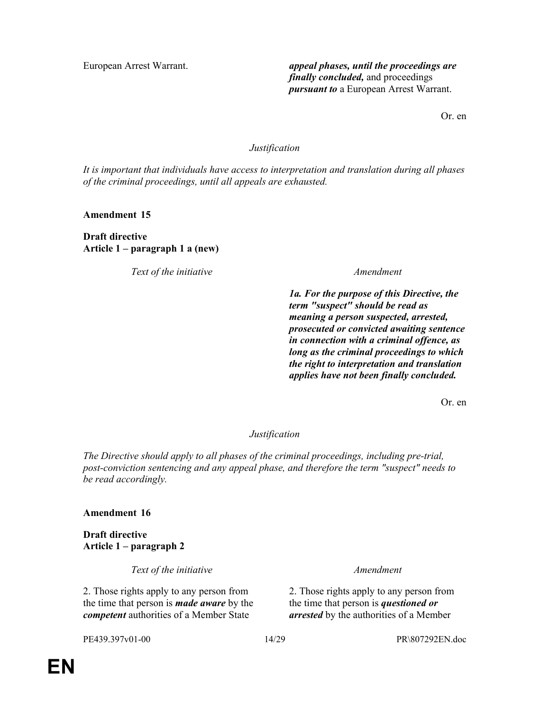European Arrest Warrant. **appeal phases, until the proceedings are** finally concluded, and proceedings pursuant to a European Arrest Warrant.

Or. en

### Justification

It is important that individuals have access to interpretation and translation during all phases of the criminal proceedings, until all appeals are exhausted.

Amendment 15

Draft directive Article 1 – paragraph 1 a (new)

Text of the initiative and the set of the initiative and the set of the set of the initiative and the set of the  $A$ mendment

1a. For the purpose of this Directive, the term "suspect" should be read as meaning a person suspected, arrested, prosecuted or convicted awaiting sentence in connection with a criminal offence, as long as the criminal proceedings to which the right to interpretation and translation applies have not been finally concluded.

Or. en

Justification

The Directive should apply to all phases of the criminal proceedings, including pre-trial, post-conviction sentencing and any appeal phase, and therefore the term "suspect" needs to be read accordingly.

### Amendment 16

Draft directive Article 1 – paragraph 2

Text of the initiative Text of the initiative Amendment

2. Those rights apply to any person from the time that person is *made aware* by the competent authorities of a Member State

2. Those rights apply to any person from the time that person is *questioned or* arrested by the authorities of a Member

PE439.397v01-00 14/29 PR\807292EN.doc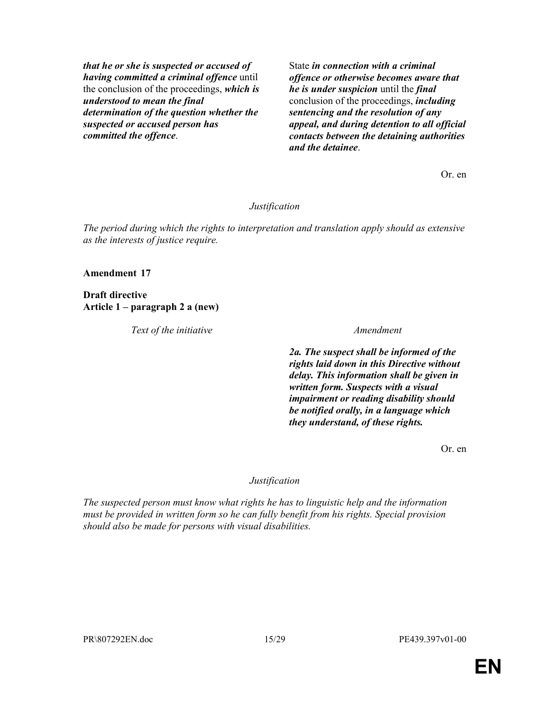that he or she is suspected or accused of having committed a criminal offence until the conclusion of the proceedings, which is understood to mean the final determination of the question whether the suspected or accused person has committed the offence.

State *in connection with a criminal* offence or otherwise becomes aware that he is under suspicion until the final conclusion of the proceedings, including sentencing and the resolution of any appeal, and during detention to all official contacts between the detaining authorities and the detainee.

Or. en

#### Justification

The period during which the rights to interpretation and translation apply should as extensive as the interests of justice require.

#### Amendment 17

Draft directive Article 1 – paragraph 2 a (new)

Text of the initiative and the state of the initiative and the state of the initiative and the state of the state of the state  $A$ mendment

2a. The suspect shall be informed of the rights laid down in this Directive without delay. This information shall be given in written form. Suspects with a visual impairment or reading disability should be notified orally, in a language which they understand, of these rights.

Or. en

#### Justification

The suspected person must know what rights he has to linguistic help and the information must be provided in written form so he can fully benefit from his rights. Special provision should also be made for persons with visual disabilities.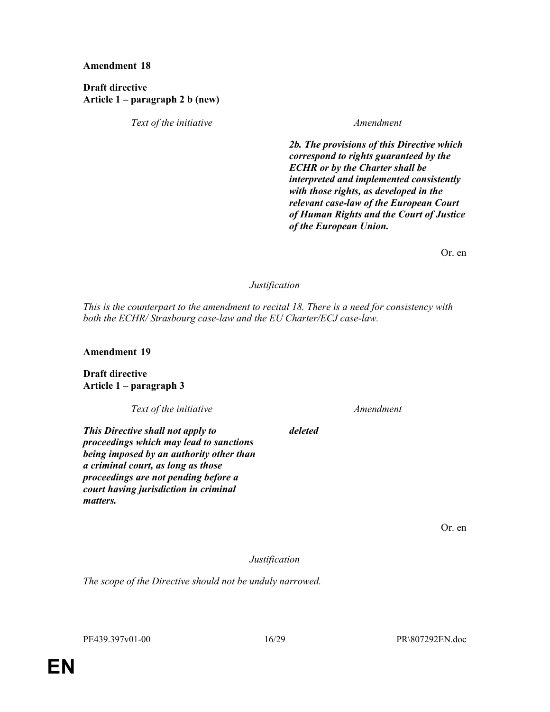Draft directive Article 1 – paragraph 2 b (new)

Text of the initiative Text of the initiative Amendment

2b. The provisions of this Directive which correspond to rights guaranteed by the ECHR or by the Charter shall be interpreted and implemented consistently with those rights, as developed in the relevant case-law of the European Court of Human Rights and the Court of Justice of the European Union.

Or. en

### Justification

This is the counterpart to the amendment to recital 18. There is a need for consistency with both the ECHR/ Strasbourg case-law and the EU Charter/ECJ case-law.

Amendment 19

Draft directive Article 1 – paragraph 3

Text of the initiative Text of the initiative Amendment

deleted

This Directive shall not apply to proceedings which may lead to sanctions being imposed by an authority other than a criminal court, as long as those proceedings are not pending before a court having jurisdiction in criminal matters.

Or. en

Justification

The scope of the Directive should not be unduly narrowed.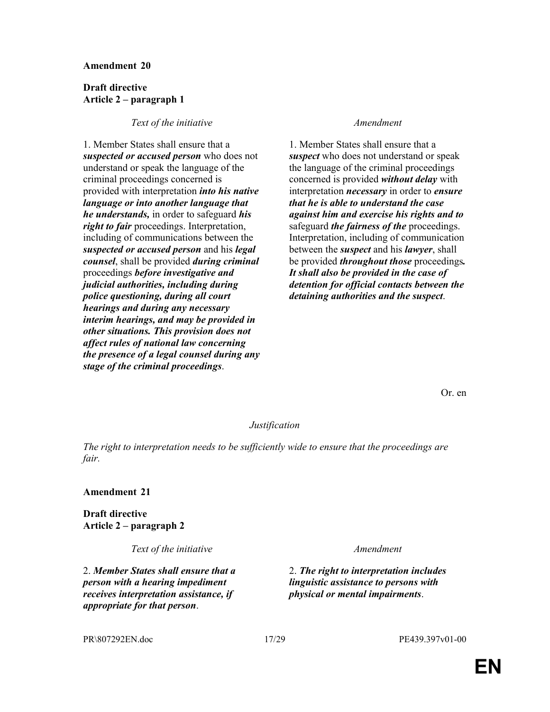#### Draft directive Article 2 – paragraph 1

#### Text of the initiative Text of the initiative Amendment

1. Member States shall ensure that a suspected or accused person who does not understand or speak the language of the criminal proceedings concerned is provided with interpretation into his native language or into another language that he understands, in order to safeguard his right to fair proceedings. Interpretation, including of communications between the suspected or accused person and his legal counsel, shall be provided during criminal proceedings before investigative and judicial authorities, including during police questioning, during all court hearings and during any necessary interim hearings, and may be provided in other situations. This provision does not affect rules of national law concerning the presence of a legal counsel during any stage of the criminal proceedings.

1. Member States shall ensure that a suspect who does not understand or speak the language of the criminal proceedings concerned is provided *without delay* with interpretation *necessary* in order to *ensure* that he is able to understand the case against him and exercise his rights and to safeguard *the fairness of the* proceedings. Interpretation, including of communication between the *suspect* and his *lawyer*, shall be provided *throughout those* proceedings. It shall also be provided in the case of detention for official contacts between the detaining authorities and the suspect.

Or. en

#### Justification

The right to interpretation needs to be sufficiently wide to ensure that the proceedings are fair.

#### Amendment 21

Draft directive Article 2 – paragraph 2

Text of the initiative and the set of the initiative and the set of the set of the initiative and the set of the  $A$ mendment

2. Member States shall ensure that a person with a hearing impediment receives interpretation assistance, if appropriate for that person.

2. The right to interpretation includes linguistic assistance to persons with physical or mental impairments.

PR\807292EN.doc 17/29 PE439.397v01-00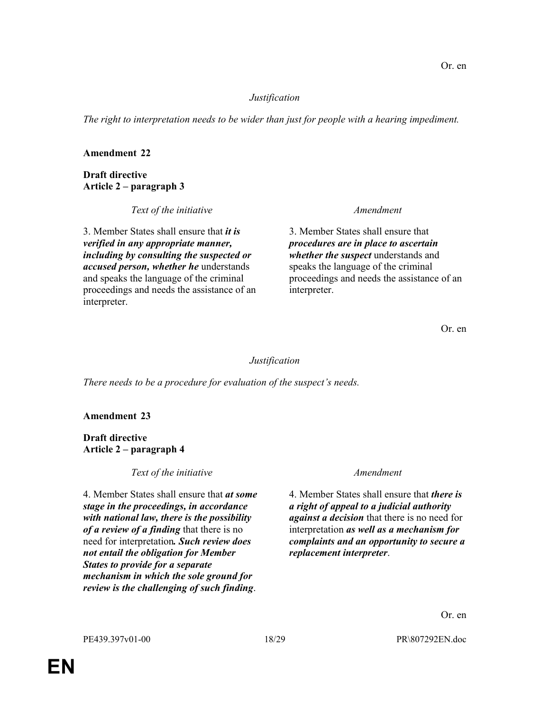### Justification

The right to interpretation needs to be wider than just for people with a hearing impediment.

### Amendment 22

Draft directive Article 2 – paragraph 3

Text of the initiative Text of the initiative Amendment

3. Member States shall ensure that *it is* verified in any appropriate manner, including by consulting the suspected or accused person, whether he understands and speaks the language of the criminal proceedings and needs the assistance of an interpreter.

3. Member States shall ensure that procedures are in place to ascertain whether the suspect understands and speaks the language of the criminal proceedings and needs the assistance of an interpreter.

Or. en

### Justification

There needs to be a procedure for evaluation of the suspect's needs.

### Amendment 23

Draft directive Article 2 – paragraph 4

Text of the initiative Text of the initiative Amendment

4. Member States shall ensure that at some stage in the proceedings, in accordance with national law, there is the possibility of a review of a finding that there is no need for interpretation. Such review does not entail the obligation for Member States to provide for a separate mechanism in which the sole ground for review is the challenging of such finding.

4. Member States shall ensure that *there is* a right of appeal to a judicial authority *against a decision* that there is no need for interpretation as well as a mechanism for complaints and an opportunity to secure a replacement interpreter.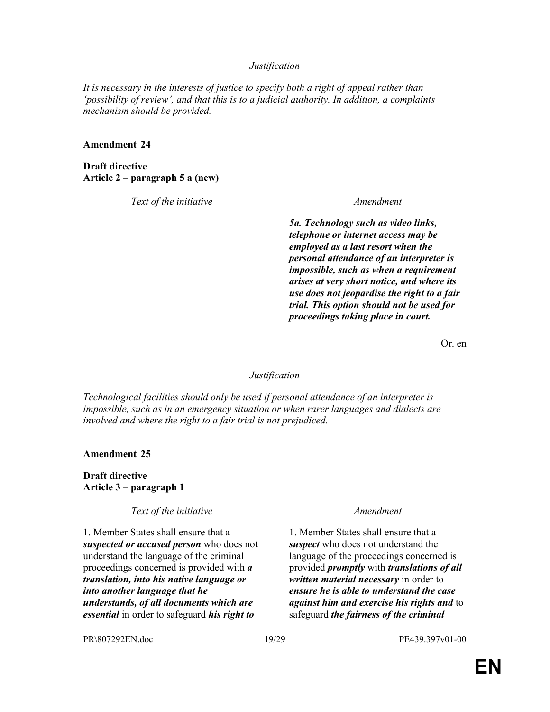#### Justification

It is necessary in the interests of justice to specify both a right of appeal rather than 'possibility of review', and that this is to a judicial authority. In addition, a complaints mechanism should be provided.

#### Amendment 24

Draft directive Article 2 – paragraph 5 a (new)

Text of the initiative Text of the initiative Amendment

5a. Technology such as video links, telephone or internet access may be employed as a last resort when the personal attendance of an interpreter is impossible, such as when a requirement arises at very short notice, and where its use does not jeopardise the right to a fair trial. This option should not be used for proceedings taking place in court.

Or. en

#### Justification

Technological facilities should only be used if personal attendance of an interpreter is impossible, such as in an emergency situation or when rarer languages and dialects are involved and where the right to a fair trial is not prejudiced.

Amendment 25

Draft directive Article 3 – paragraph 1

Text of the initiative Text of the initiative and the set of the initiative of the set of the set of the set of the set of the set of the set of the set of the set of the set of the set of the set of the set of the set of

1. Member States shall ensure that a suspected or accused person who does not understand the language of the criminal proceedings concerned is provided with a translation, into his native language or into another language that he understands, of all documents which are essential in order to safeguard his right to

1. Member States shall ensure that a suspect who does not understand the language of the proceedings concerned is provided *promptly* with *translations of all* written material necessary in order to ensure he is able to understand the case against him and exercise his rights and to safeguard *the fairness of the criminal* 

PR\807292EN.doc 19/29 PE439.397v01-00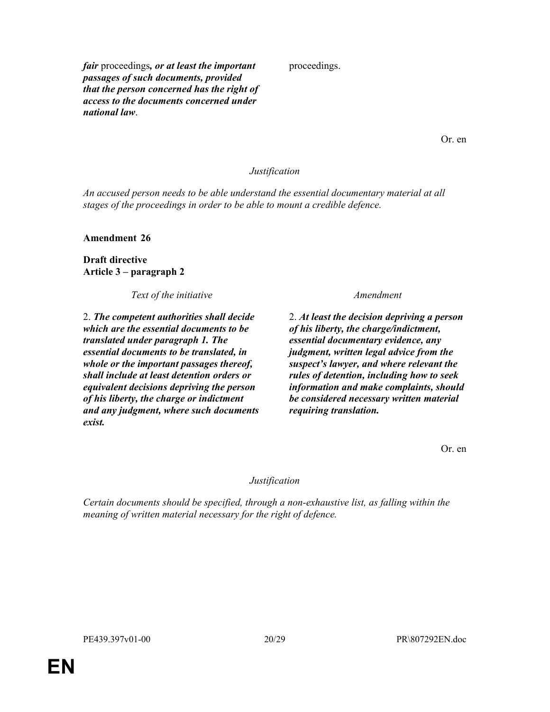fair proceedings, or at least the important passages of such documents, provided that the person concerned has the right of access to the documents concerned under national law.

proceedings.

Or. en

#### Justification

An accused person needs to be able understand the essential documentary material at all stages of the proceedings in order to be able to mount a credible defence.

Amendment 26

Draft directive Article 3 – paragraph 2

Text of the initiative and the set of the initiative and the set of the initiative and the set of the set of the  $A$ mendment

2. The competent authorities shall decide which are the essential documents to be translated under paragraph 1. The essential documents to be translated, in whole or the important passages thereof, shall include at least detention orders or equivalent decisions depriving the person of his liberty, the charge or indictment and any judgment, where such documents exist.

2. At least the decision depriving a person of his liberty, the charge/indictment, essential documentary evidence, any judgment, written legal advice from the suspect's lawyer, and where relevant the rules of detention, including how to seek information and make complaints, should be considered necessary written material requiring translation.

Or. en

#### Justification

Certain documents should be specified, through a non-exhaustive list, as falling within the meaning of written material necessary for the right of defence.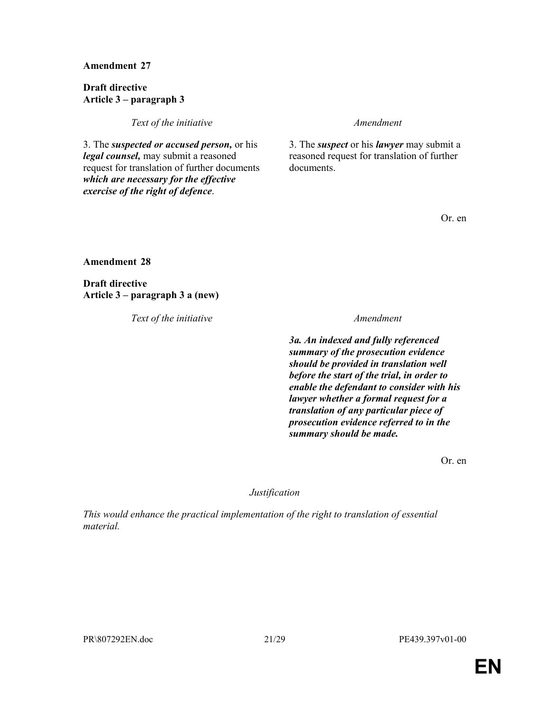Draft directive Article 3 – paragraph 3

Text of the initiative and the state of the initiative and the state of the initiative and the state of the state of the state  $A$ mendment

3. The suspected or accused person, or his legal counsel, may submit a reasoned request for translation of further documents which are necessary for the effective exercise of the right of defence.

3. The *suspect* or his *lawyer* may submit a reasoned request for translation of further documents.

Or. en

Amendment 28

Draft directive Article 3 – paragraph 3 a (new)

Text of the initiative Text of the initiative Amendment

3a. An indexed and fully referenced summary of the prosecution evidence should be provided in translation well before the start of the trial, in order to enable the defendant to consider with his lawyer whether a formal request for a translation of any particular piece of prosecution evidence referred to in the summary should be made.

Or. en

Justification

This would enhance the practical implementation of the right to translation of essential material.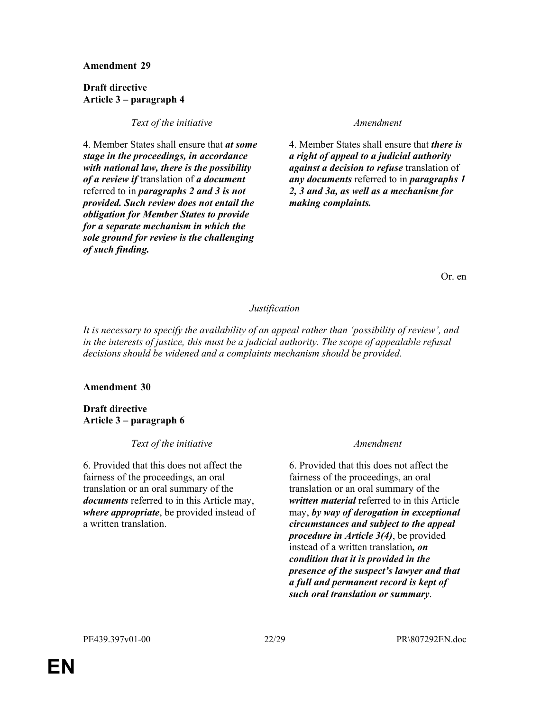#### Draft directive Article 3 – paragraph 4

### Text of the initiative Text of the initiative Amendment

4. Member States shall ensure that at some stage in the proceedings, in accordance with national law, there is the possibility of a review if translation of a document referred to in paragraphs 2 and 3 is not provided. Such review does not entail the obligation for Member States to provide for a separate mechanism in which the sole ground for review is the challenging of such finding.

4. Member States shall ensure that there is a right of appeal to a judicial authority against a decision to refuse translation of any documents referred to in paragraphs 1 2, 3 and 3a, as well as a mechanism for making complaints.

Or. en

### Justification

It is necessary to specify the availability of an appeal rather than 'possibility of review', and in the interests of justice, this must be a judicial authority. The scope of appealable refusal decisions should be widened and a complaints mechanism should be provided.

### Amendment 30

Draft directive Article 3 – paragraph 6

Text of the initiative Text of the initiative and the set of the initiative and the set of the set of the set o

6. Provided that this does not affect the fairness of the proceedings, an oral translation or an oral summary of the documents referred to in this Article may, where *appropriate*, be provided instead of a written translation.

6. Provided that this does not affect the fairness of the proceedings, an oral translation or an oral summary of the written material referred to in this Article may, by way of derogation in exceptional circumstances and subject to the appeal procedure in Article 3(4), be provided instead of a written translation, on condition that it is provided in the presence of the suspect's lawyer and that a full and permanent record is kept of such oral translation or summary.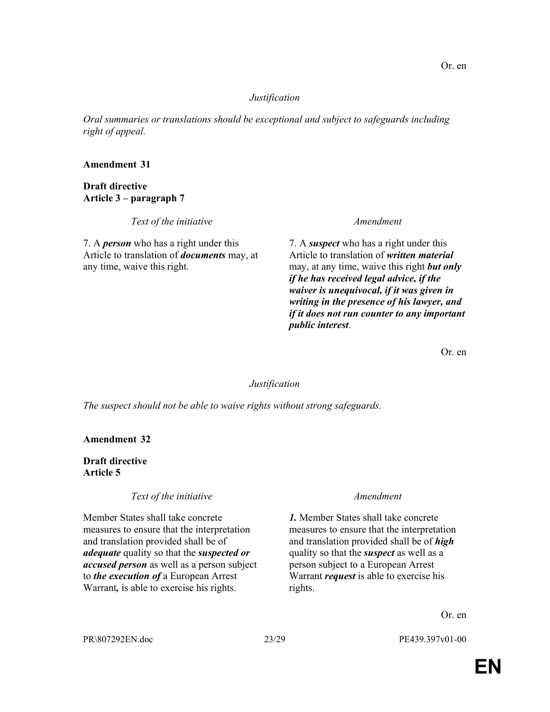### Justification

Oral summaries or translations should be exceptional and subject to safeguards including right of appeal.

### Amendment 31

Draft directive Article 3 – paragraph 7

Text of the initiative and the state of the initiative and the state of the initiative and the state of the state of the state  $A$ mendment

7. A *person* who has a right under this Article to translation of documents may, at any time, waive this right.

7. A suspect who has a right under this Article to translation of written material may, at any time, waive this right **but only** if he has received legal advice, if the waiver is unequivocal, if it was given in writing in the presence of his lawyer, and if it does not run counter to any important public interest.

Or. en

#### **Justification**

The suspect should not be able to waive rights without strong safeguards.

Amendment 32

Draft directive Article 5

### Text of the initiative Text of the initiative and the state of the initiative of the state of the state of the  $A$ mendment

Member States shall take concrete measures to ensure that the interpretation and translation provided shall be of adequate quality so that the *suspected or* accused person as well as a person subject to the execution of a European Arrest Warrant, is able to exercise his rights.

1. Member States shall take concrete measures to ensure that the interpretation and translation provided shall be of *high* quality so that the *suspect* as well as a person subject to a European Arrest Warrant *request* is able to exercise his rights.

Or. en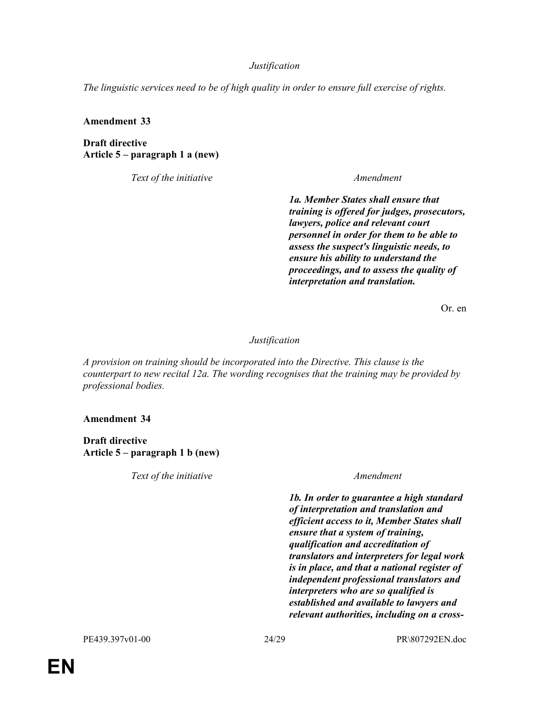### **Justification**

The linguistic services need to be of high quality in order to ensure full exercise of rights.

Amendment 33

Draft directive Article 5 – paragraph 1 a (new)

Text of the initiative and the set of the initiative and the set of the set of the initiative and the set of the  $A$ mendment

1a. Member States shall ensure that training is offered for judges, prosecutors, lawyers, police and relevant court personnel in order for them to be able to assess the suspect's linguistic needs, to ensure his ability to understand the proceedings, and to assess the quality of interpretation and translation.

Or. en

### Justification

A provision on training should be incorporated into the Directive. This clause is the counterpart to new recital 12a. The wording recognises that the training may be provided by professional bodies.

Amendment 34

Draft directive Article 5 – paragraph 1 b (new)

Text of the initiative Text of the initiative Amendment

1b. In order to guarantee a high standard of interpretation and translation and efficient access to it, Member States shall ensure that a system of training, qualification and accreditation of translators and interpreters for legal work is in place, and that a national register of independent professional translators and interpreters who are so qualified is established and available to lawyers and relevant authorities, including on a cross-

PE439.397v01-00 24/29 PR\807292EN.doc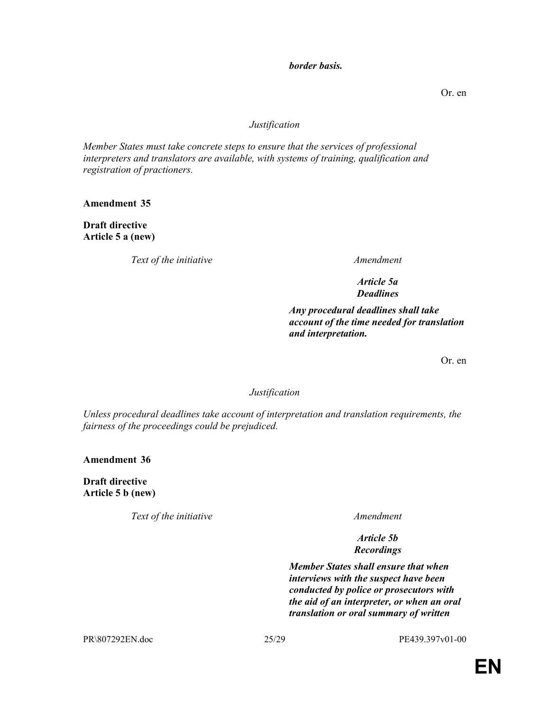### border basis.

Or. en

### Justification

Member States must take concrete steps to ensure that the services of professional interpreters and translators are available, with systems of training, qualification and registration of practioners.

Amendment 35

Draft directive Article 5 a (new)

Text of the initiative and the state of the initiative and the state of the initiative and the state of the state of the state  $A$ mendment

Article 5a Deadlines

Any procedural deadlines shall take account of the time needed for translation and interpretation.

Or. en

Justification

Unless procedural deadlines take account of interpretation and translation requirements, the fairness of the proceedings could be prejudiced.

Amendment 36

Draft directive Article 5 b (new)

Text of the initiative and the state of the initiative and the state of the initiative and the state of the state of the state  $A$ mendment

Article 5b Recordings

Member States shall ensure that when interviews with the suspect have been conducted by police or prosecutors with the aid of an interpreter, or when an oral translation or oral summary of written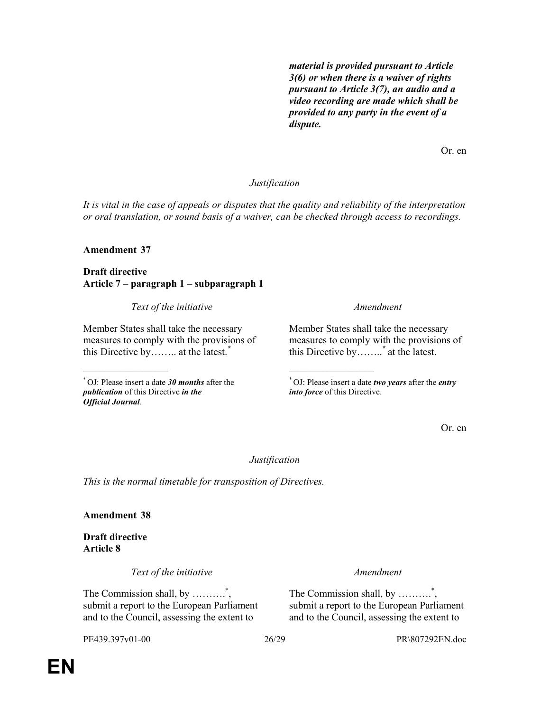material is provided pursuant to Article 3(6) or when there is a waiver of rights pursuant to Article 3(7), an audio and a video recording are made which shall be provided to any party in the event of a dispute.

Or. en

### Justification

It is vital in the case of appeals or disputes that the quality and reliability of the interpretation or oral translation, or sound basis of a waiver, can be checked through access to recordings.

### Amendment 37

 $\overline{\phantom{a}}$  , where  $\overline{\phantom{a}}$  , where  $\overline{\phantom{a}}$ 

Draft directive Article 7 – paragraph 1 – subparagraph 1

Text of the initiative and the set of the initiative and the set of the set of the initiative and the set of the  $A$ mendment

Member States shall take the necessary measures to comply with the provisions of this Directive by…….. at the latest.<sup>\*</sup>

 $*$  OJ: Please insert a date 30 months after the publication of this Directive in the Official Journal.

Member States shall take the necessary measures to comply with the provisions of this Directive by……..\* at the latest.

 $*$  OJ: Please insert a date *two years* after the *entry* into force of this Directive.

\_\_\_\_\_\_\_\_\_\_\_\_\_\_\_\_\_\_\_\_

Or. en

Justification

This is the normal timetable for transposition of Directives.

Amendment 38

Draft directive Article 8

Text of the initiative Text of the initiative and the state of the initiative of the state of the state of the  $A$ mendment

The Commission shall, by ...........<sup>\*</sup>, submit a report to the European Parliament and to the Council, assessing the extent to

The Commission shall, by ...........<sup>\*</sup>, submit a report to the European Parliament and to the Council, assessing the extent to

PE439.397v01-00 26/29 PR\807292EN.doc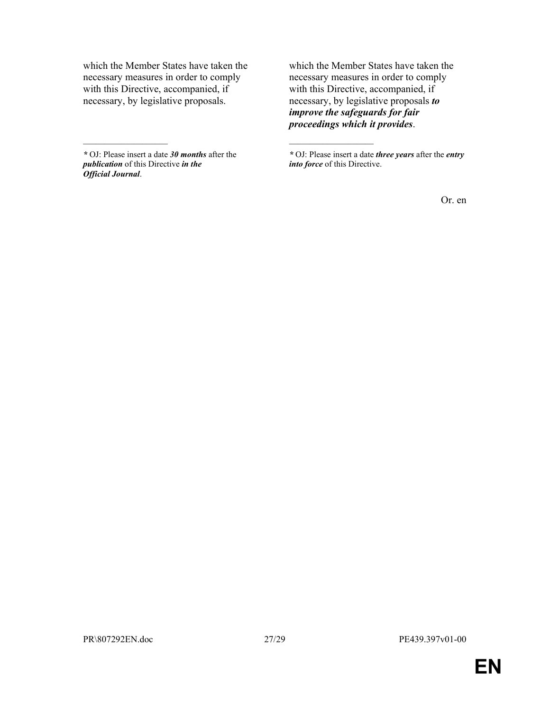which the Member States have taken the necessary measures in order to comply with this Directive, accompanied, if necessary, by legislative proposals.

 $*$  OJ: Please insert a date 30 *months* after the publication of this Directive in the Official Journal.

 $\frac{1}{2}$  ,  $\frac{1}{2}$  ,  $\frac{1}{2}$  ,  $\frac{1}{2}$  ,  $\frac{1}{2}$  ,  $\frac{1}{2}$  ,  $\frac{1}{2}$  ,  $\frac{1}{2}$  ,  $\frac{1}{2}$  ,  $\frac{1}{2}$ 

which the Member States have taken the necessary measures in order to comply with this Directive, accompanied, if necessary, by legislative proposals to improve the safeguards for fair proceedings which it provides.

\_\_\_\_\_\_\_\_\_\_\_\_\_\_\_\_\_\_\_\_

Or. en

<sup>\*</sup> OJ: Please insert a date three years after the entry into force of this Directive.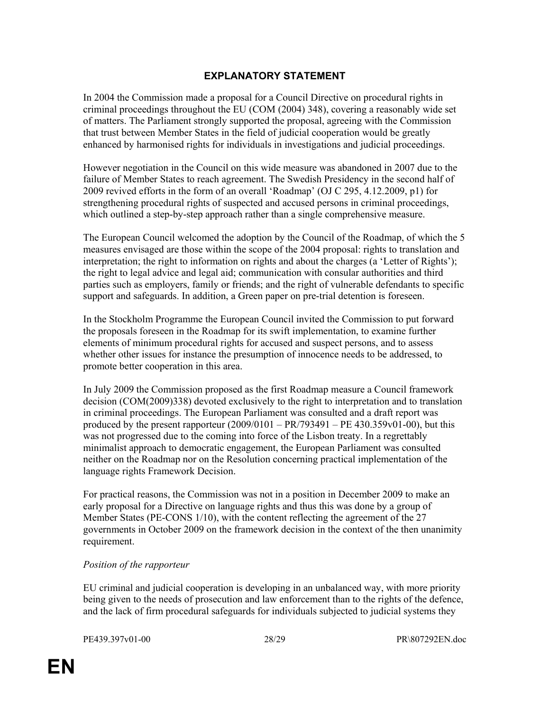# EXPLANATORY STATEMENT

In 2004 the Commission made a proposal for a Council Directive on procedural rights in criminal proceedings throughout the EU (COM (2004) 348), covering a reasonably wide set of matters. The Parliament strongly supported the proposal, agreeing with the Commission that trust between Member States in the field of judicial cooperation would be greatly enhanced by harmonised rights for individuals in investigations and judicial proceedings.

However negotiation in the Council on this wide measure was abandoned in 2007 due to the failure of Member States to reach agreement. The Swedish Presidency in the second half of 2009 revived efforts in the form of an overall 'Roadmap' (OJ C 295, 4.12.2009, p1) for strengthening procedural rights of suspected and accused persons in criminal proceedings, which outlined a step-by-step approach rather than a single comprehensive measure.

The European Council welcomed the adoption by the Council of the Roadmap, of which the 5 measures envisaged are those within the scope of the 2004 proposal: rights to translation and interpretation; the right to information on rights and about the charges (a 'Letter of Rights'); the right to legal advice and legal aid; communication with consular authorities and third parties such as employers, family or friends; and the right of vulnerable defendants to specific support and safeguards. In addition, a Green paper on pre-trial detention is foreseen.

In the Stockholm Programme the European Council invited the Commission to put forward the proposals foreseen in the Roadmap for its swift implementation, to examine further elements of minimum procedural rights for accused and suspect persons, and to assess whether other issues for instance the presumption of innocence needs to be addressed, to promote better cooperation in this area.

In July 2009 the Commission proposed as the first Roadmap measure a Council framework decision (COM(2009)338) devoted exclusively to the right to interpretation and to translation in criminal proceedings. The European Parliament was consulted and a draft report was produced by the present rapporteur  $(2009/0101 - PR/793491 - PE 430.359v01-00)$ , but this was not progressed due to the coming into force of the Lisbon treaty. In a regrettably minimalist approach to democratic engagement, the European Parliament was consulted neither on the Roadmap nor on the Resolution concerning practical implementation of the language rights Framework Decision.

For practical reasons, the Commission was not in a position in December 2009 to make an early proposal for a Directive on language rights and thus this was done by a group of Member States (PE-CONS 1/10), with the content reflecting the agreement of the 27 governments in October 2009 on the framework decision in the context of the then unanimity requirement.

### Position of the rapporteur

EU criminal and judicial cooperation is developing in an unbalanced way, with more priority being given to the needs of prosecution and law enforcement than to the rights of the defence, and the lack of firm procedural safeguards for individuals subjected to judicial systems they